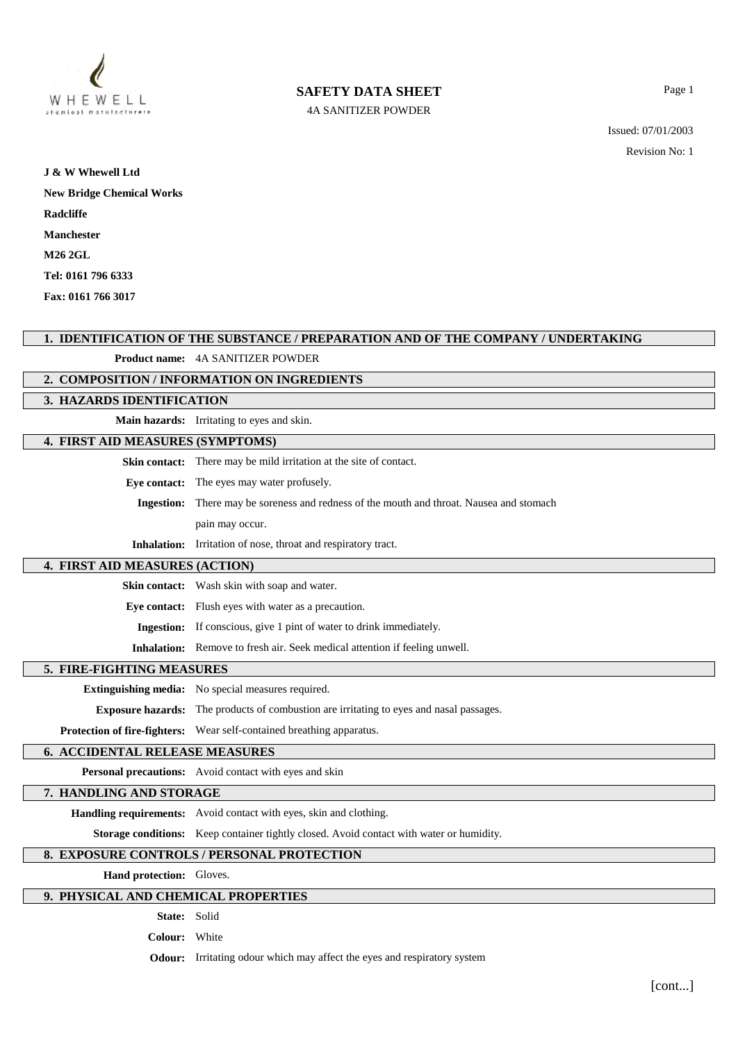

# **SAFETY DATA SHEET**

4A SANITIZER POWDER

Issued: 07/01/2003

Revision No: 1

Page 1

| J & W Whewell Ltd                |
|----------------------------------|
| <b>New Bridge Chemical Works</b> |
| Radcliffe                        |
| Manchester                       |
| <b>M26 2GL</b>                   |
| Tel: 0161 796 6333               |
| Fax: 0161 766 3017               |

# **1. IDENTIFICATION OF THE SUBSTANCE / PREPARATION AND OF THE COMPANY / UNDERTAKING**

# **Product name:** 4A SANITIZER POWDER

### **2. COMPOSITION / INFORMATION ON INGREDIENTS**

## **3. HAZARDS IDENTIFICATION**

**Main hazards:** Irritating to eyes and skin.

# **4. FIRST AID MEASURES (SYMPTOMS)**

**Skin contact:** There may be mild irritation at the site of contact.

**Eye contact:** The eyes may water profusely.

**Ingestion:** There may be soreness and redness of the mouth and throat. Nausea and stomach

pain may occur.

**Inhalation:** Irritation of nose, throat and respiratory tract.

#### **4. FIRST AID MEASURES (ACTION)**

**Skin contact:** Wash skin with soap and water.

**Eye contact:** Flush eyes with water as a precaution.

**Ingestion:** If conscious, give 1 pint of water to drink immediately.

**Inhalation:** Remove to fresh air. Seek medical attention if feeling unwell.

#### **5. FIRE-FIGHTING MEASURES**

**Extinguishing media:** No special measures required.

**Exposure hazards:** The products of combustion are irritating to eyes and nasal passages.

**Protection of fire-fighters:** Wear self-contained breathing apparatus.

#### **6. ACCIDENTAL RELEASE MEASURES**

**Personal precautions:** Avoid contact with eyes and skin

### **7. HANDLING AND STORAGE**

**Handling requirements:** Avoid contact with eyes, skin and clothing.

**Storage conditions:** Keep container tightly closed. Avoid contact with water or humidity.

# **8. EXPOSURE CONTROLS / PERSONAL PROTECTION**

**Hand protection:** Gloves.

### **9. PHYSICAL AND CHEMICAL PROPERTIES**

**State:** Solid

**Colour:** White

**Odour:** Irritating odour which may affect the eyes and respiratory system